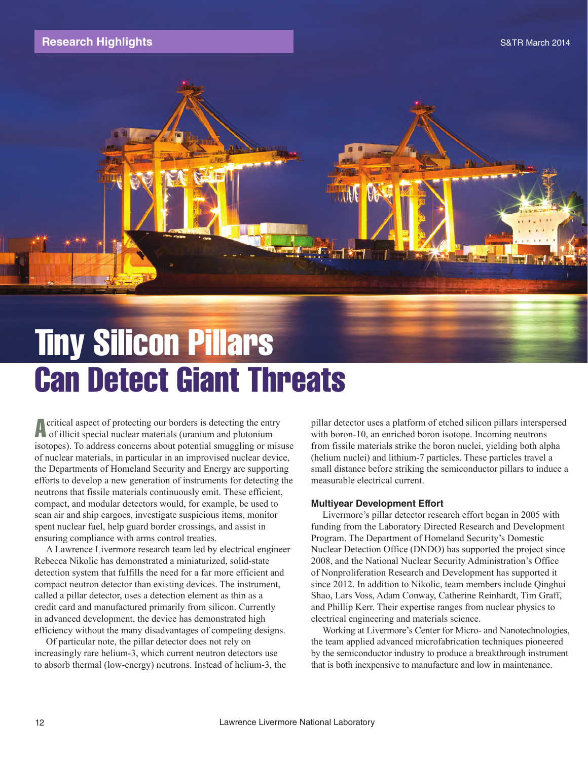## **Research Highlights** Same Communication of the Communication of the S&TR March 2014



# Tiny Silicon Pillars Can Detect Giant Threats

Acritical aspect of protecting our borders is detecting the entry of illicit special nuclear materials (uranium and plutonium isotopes). To address concerns about potential smuggling or misuse of nuclear materials, in particular in an improvised nuclear device, the Departments of Homeland Security and Energy are supporting efforts to develop a new generation of instruments for detecting the neutrons that fissile materials continuously emit. These efficient, compact, and modular detectors would, for example, be used to scan air and ship cargoes, investigate suspicious items, monitor spent nuclear fuel, help guard border crossings, and assist in ensuring compliance with arms control treaties.

A Lawrence Livermore research team led by electrical engineer Rebecca Nikolic has demonstrated a miniaturized, solid-state detection system that fulfills the need for a far more efficient and compact neutron detector than existing devices. The instrument, called a pillar detector, uses a detection element as thin as a credit card and manufactured primarily from silicon. Currently in advanced development, the device has demonstrated high efficiency without the many disadvantages of competing designs.

Of particular note, the pillar detector does not rely on increasingly rare helium-3, which current neutron detectors use to absorb thermal (low-energy) neutrons. Instead of helium-3, the pillar detector uses a platform of etched silicon pillars interspersed with boron-10, an enriched boron isotope. Incoming neutrons from fissile materials strike the boron nuclei, yielding both alpha (helium nuclei) and lithium-7 particles. These particles travel a small distance before striking the semiconductor pillars to induce a measurable electrical current.

### **Multiyear Development Effort**

Livermore's pillar detector research effort began in 2005 with funding from the Laboratory Directed Research and Development Program. The Department of Homeland Security's Domestic Nuclear Detection Office (DNDO) has supported the project since 2008, and the National Nuclear Security Administration's Office of Nonproliferation Research and Development has supported it since 2012. In addition to Nikolic, team members include Qinghui Shao, Lars Voss, Adam Conway, Catherine Reinhardt, Tim Graff, and Phillip Kerr. Their expertise ranges from nuclear physics to electrical engineering and materials science.

Working at Livermore's Center for Micro- and Nanotechnologies, the team applied advanced microfabrication techniques pioneered by the semiconductor industry to produce a breakthrough instrument that is both inexpensive to manufacture and low in maintenance.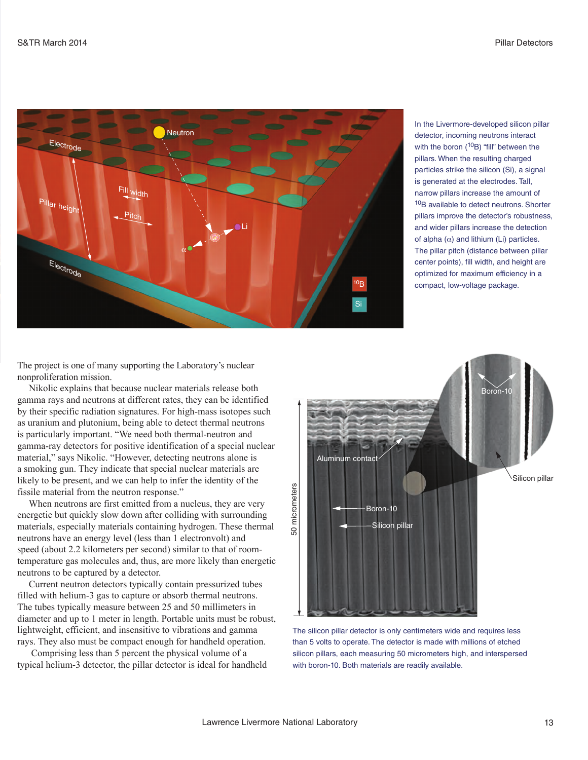

In the Livermore-developed silicon pillar detector, incoming neutrons interact with the boron  $(^{10}B)$  "fill" between the pillars. When the resulting charged particles strike the silicon (Si), a signal is generated at the electrodes. Tall, narrow pillars increase the amount of 10B available to detect neutrons. Shorter pillars improve the detector's robustness, and wider pillars increase the detection of alpha  $(\alpha)$  and lithium (Li) particles. The pillar pitch (distance between pillar center points), fill width, and height are optimized for maximum efficiency in a compact, low-voltage package.

The project is one of many supporting the Laboratory's nuclear nonproliferation mission.

Nikolic explains that because nuclear materials release both gamma rays and neutrons at different rates, they can be identified by their specific radiation signatures. For high-mass isotopes such as uranium and plutonium, being able to detect thermal neutrons is particularly important. "We need both thermal-neutron and gamma-ray detectors for positive identification of a special nuclear material," says Nikolic. "However, detecting neutrons alone is a smoking gun. They indicate that special nuclear materials are likely to be present, and we can help to infer the identity of the fissile material from the neutron response."

When neutrons are first emitted from a nucleus, they are very energetic but quickly slow down after colliding with surrounding materials, especially materials containing hydrogen. These thermal neutrons have an energy level (less than 1 electronvolt) and speed (about 2.2 kilometers per second) similar to that of roomtemperature gas molecules and, thus, are more likely than energetic neutrons to be captured by a detector.

Current neutron detectors typically contain pressurized tubes filled with helium-3 gas to capture or absorb thermal neutrons. The tubes typically measure between 25 and 50 millimeters in diameter and up to 1 meter in length. Portable units must be robust, lightweight, efficient, and insensitive to vibrations and gamma rays. They also must be compact enough for handheld operation.

 Comprising less than 5 percent the physical volume of a typical helium-3 detector, the pillar detector is ideal for handheld



The silicon pillar detector is only centimeters wide and requires less than 5 volts to operate. The detector is made with millions of etched silicon pillars, each measuring 50 micrometers high, and interspersed with boron-10. Both materials are readily available.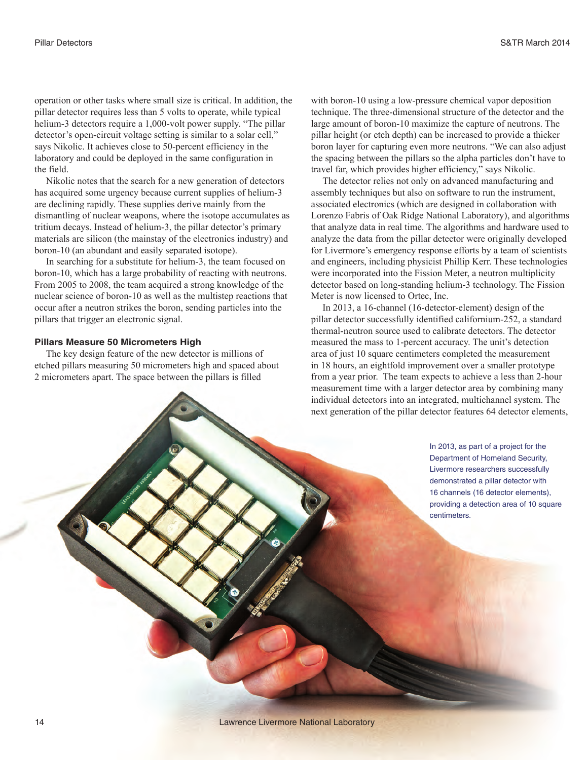operation or other tasks where small size is critical. In addition, the pillar detector requires less than 5 volts to operate, while typical helium-3 detectors require a 1,000-volt power supply. "The pillar detector's open-circuit voltage setting is similar to a solar cell," says Nikolic. It achieves close to 50-percent efficiency in the laboratory and could be deployed in the same configuration in the field.

Nikolic notes that the search for a new generation of detectors has acquired some urgency because current supplies of helium-3 are declining rapidly. These supplies derive mainly from the dismantling of nuclear weapons, where the isotope accumulates as tritium decays. Instead of helium-3, the pillar detector's primary materials are silicon (the mainstay of the electronics industry) and boron-10 (an abundant and easily separated isotope).

In searching for a substitute for helium-3, the team focused on boron-10, which has a large probability of reacting with neutrons. From 2005 to 2008, the team acquired a strong knowledge of the nuclear science of boron-10 as well as the multistep reactions that occur after a neutron strikes the boron, sending particles into the pillars that trigger an electronic signal.

#### **Pillars Measure 50 Micrometers High**

The key design feature of the new detector is millions of etched pillars measuring 50 micrometers high and spaced about 2 micrometers apart. The space between the pillars is filled

with boron-10 using a low-pressure chemical vapor deposition technique. The three-dimensional structure of the detector and the large amount of boron-10 maximize the capture of neutrons. The pillar height (or etch depth) can be increased to provide a thicker boron layer for capturing even more neutrons. "We can also adjust the spacing between the pillars so the alpha particles don't have to travel far, which provides higher efficiency," says Nikolic.

The detector relies not only on advanced manufacturing and assembly techniques but also on software to run the instrument, associated electronics (which are designed in collaboration with Lorenzo Fabris of Oak Ridge National Laboratory), and algorithms that analyze data in real time. The algorithms and hardware used to analyze the data from the pillar detector were originally developed for Livermore's emergency response efforts by a team of scientists and engineers, including physicist Phillip Kerr. These technologies were incorporated into the Fission Meter, a neutron multiplicity detector based on long-standing helium-3 technology. The Fission Meter is now licensed to Ortec, Inc.

In 2013, a 16-channel (16-detector-element) design of the pillar detector successfully identified californium-252, a standard thermal-neutron source used to calibrate detectors. The detector measured the mass to 1-percent accuracy. The unit's detection area of just 10 square centimeters completed the measurement in 18 hours, an eightfold improvement over a smaller prototype from a year prior. The team expects to achieve a less than 2-hour measurement time with a larger detector area by combining many individual detectors into an integrated, multichannel system. The next generation of the pillar detector features 64 detector elements,

> In 2013, as part of a project for the Department of Homeland Security, Livermore researchers successfully demonstrated a pillar detector with 16 channels (16 detector elements), providing a detection area of 10 square centimeters.